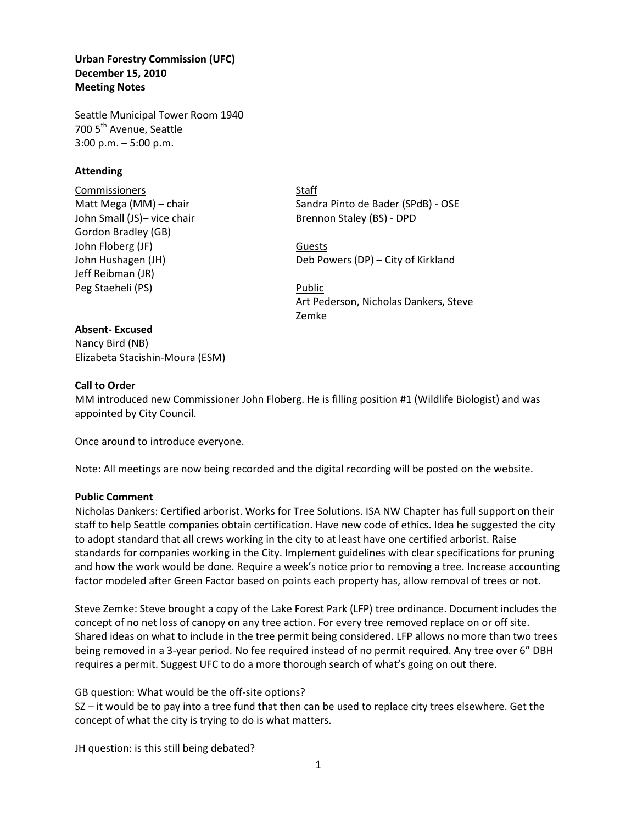**Urban Forestry Commission (UFC) December 15, 2010 Meeting Notes** 

Seattle Municipal Tower Room 1940 700 5<sup>th</sup> Avenue, Seattle 3:00 p.m. – 5:00 p.m.

## **Attending**

Commissioners Staff Gordon Bradley (GB) John Floberg (JF) Guests Jeff Reibman (JR) Peg Staeheli (PS) Public

Matt Mega (MM) – chair Sandra Pinto de Bader (SPdB) - OSE John Small (JS)- vice chair Brennon Staley (BS) - DPD

John Hushagen (JH) Deb Powers (DP) – City of Kirkland

Art Pederson, Nicholas Dankers, Steve Zemke

#### **Absent- Excused**

Nancy Bird (NB) Elizabeta Stacishin-Moura (ESM)

## **Call to Order**

MM introduced new Commissioner John Floberg. He is filling position #1 (Wildlife Biologist) and was appointed by City Council.

Once around to introduce everyone.

Note: All meetings are now being recorded and the digital recording will be posted on the website.

#### **Public Comment**

Nicholas Dankers: Certified arborist. Works for Tree Solutions. ISA NW Chapter has full support on their staff to help Seattle companies obtain certification. Have new code of ethics. Idea he suggested the city to adopt standard that all crews working in the city to at least have one certified arborist. Raise standards for companies working in the City. Implement guidelines with clear specifications for pruning and how the work would be done. Require a week's notice prior to removing a tree. Increase accounting factor modeled after Green Factor based on points each property has, allow removal of trees or not.

Steve Zemke: Steve brought a copy of the Lake Forest Park (LFP) tree ordinance. Document includes the concept of no net loss of canopy on any tree action. For every tree removed replace on or off site. Shared ideas on what to include in the tree permit being considered. LFP allows no more than two trees being removed in a 3-year period. No fee required instead of no permit required. Any tree over 6" DBH requires a permit. Suggest UFC to do a more thorough search of what's going on out there.

GB question: What would be the off-site options?

SZ – it would be to pay into a tree fund that then can be used to replace city trees elsewhere. Get the concept of what the city is trying to do is what matters.

JH question: is this still being debated?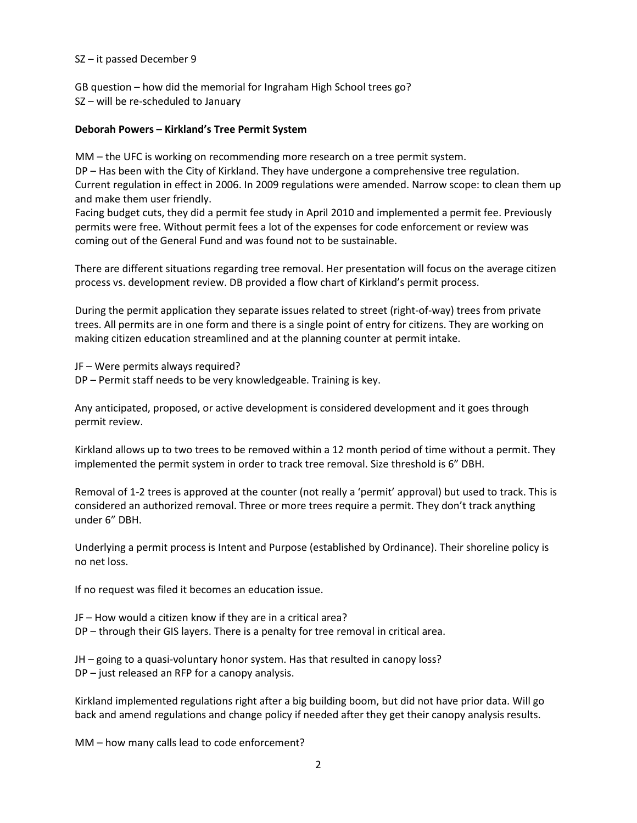## SZ – it passed December 9

GB question – how did the memorial for Ingraham High School trees go? SZ – will be re-scheduled to January

### **Deborah Powers – Kirkland's Tree Permit System**

MM – the UFC is working on recommending more research on a tree permit system. DP – Has been with the City of Kirkland. They have undergone a comprehensive tree regulation. Current regulation in effect in 2006. In 2009 regulations were amended. Narrow scope: to clean them up and make them user friendly.

Facing budget cuts, they did a permit fee study in April 2010 and implemented a permit fee. Previously permits were free. Without permit fees a lot of the expenses for code enforcement or review was coming out of the General Fund and was found not to be sustainable.

There are different situations regarding tree removal. Her presentation will focus on the average citizen process vs. development review. DB provided a flow chart of Kirkland's permit process.

During the permit application they separate issues related to street (right-of-way) trees from private trees. All permits are in one form and there is a single point of entry for citizens. They are working on making citizen education streamlined and at the planning counter at permit intake.

JF – Were permits always required? DP – Permit staff needs to be very knowledgeable. Training is key.

Any anticipated, proposed, or active development is considered development and it goes through permit review.

Kirkland allows up to two trees to be removed within a 12 month period of time without a permit. They implemented the permit system in order to track tree removal. Size threshold is 6" DBH.

Removal of 1-2 trees is approved at the counter (not really a 'permit' approval) but used to track. This is considered an authorized removal. Three or more trees require a permit. They don't track anything under 6" DBH.

Underlying a permit process is Intent and Purpose (established by Ordinance). Their shoreline policy is no net loss.

If no request was filed it becomes an education issue.

JF – How would a citizen know if they are in a critical area? DP – through their GIS layers. There is a penalty for tree removal in critical area.

JH – going to a quasi-voluntary honor system. Has that resulted in canopy loss? DP – just released an RFP for a canopy analysis.

Kirkland implemented regulations right after a big building boom, but did not have prior data. Will go back and amend regulations and change policy if needed after they get their canopy analysis results.

MM – how many calls lead to code enforcement?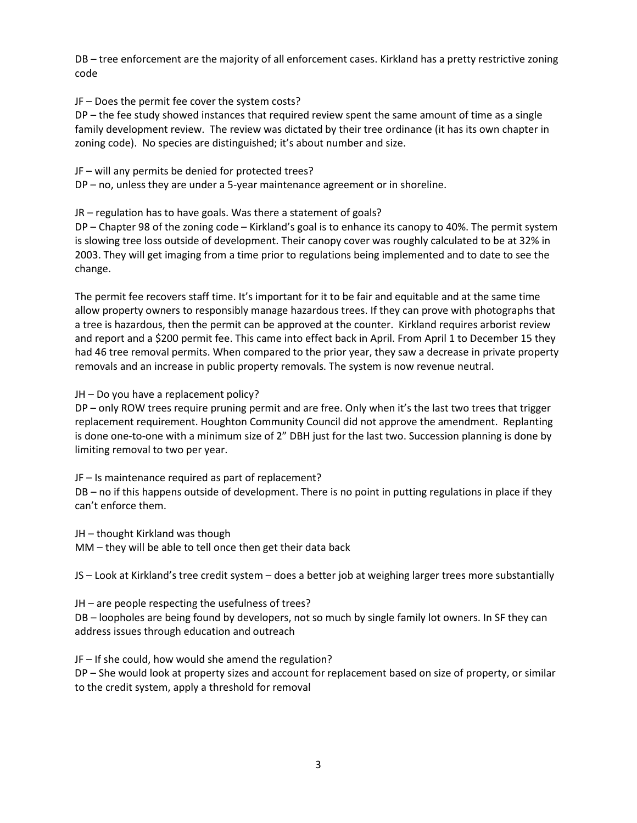DB – tree enforcement are the majority of all enforcement cases. Kirkland has a pretty restrictive zoning code

JF – Does the permit fee cover the system costs?

DP – the fee study showed instances that required review spent the same amount of time as a single family development review. The review was dictated by their tree ordinance (it has its own chapter in zoning code). No species are distinguished; it's about number and size.

JF – will any permits be denied for protected trees?

DP – no, unless they are under a 5-year maintenance agreement or in shoreline.

JR – regulation has to have goals. Was there a statement of goals?

DP – Chapter 98 of the zoning code – Kirkland's goal is to enhance its canopy to 40%. The permit system is slowing tree loss outside of development. Their canopy cover was roughly calculated to be at 32% in 2003. They will get imaging from a time prior to regulations being implemented and to date to see the change.

The permit fee recovers staff time. It's important for it to be fair and equitable and at the same time allow property owners to responsibly manage hazardous trees. If they can prove with photographs that a tree is hazardous, then the permit can be approved at the counter. Kirkland requires arborist review and report and a \$200 permit fee. This came into effect back in April. From April 1 to December 15 they had 46 tree removal permits. When compared to the prior year, they saw a decrease in private property removals and an increase in public property removals. The system is now revenue neutral.

JH – Do you have a replacement policy?

DP – only ROW trees require pruning permit and are free. Only when it's the last two trees that trigger replacement requirement. Houghton Community Council did not approve the amendment. Replanting is done one-to-one with a minimum size of 2" DBH just for the last two. Succession planning is done by limiting removal to two per year.

JF – Is maintenance required as part of replacement?

DB – no if this happens outside of development. There is no point in putting regulations in place if they can't enforce them.

JH – thought Kirkland was though MM – they will be able to tell once then get their data back

JS – Look at Kirkland's tree credit system – does a better job at weighing larger trees more substantially

JH – are people respecting the usefulness of trees?

DB – loopholes are being found by developers, not so much by single family lot owners. In SF they can address issues through education and outreach

JF – If she could, how would she amend the regulation?

DP – She would look at property sizes and account for replacement based on size of property, or similar to the credit system, apply a threshold for removal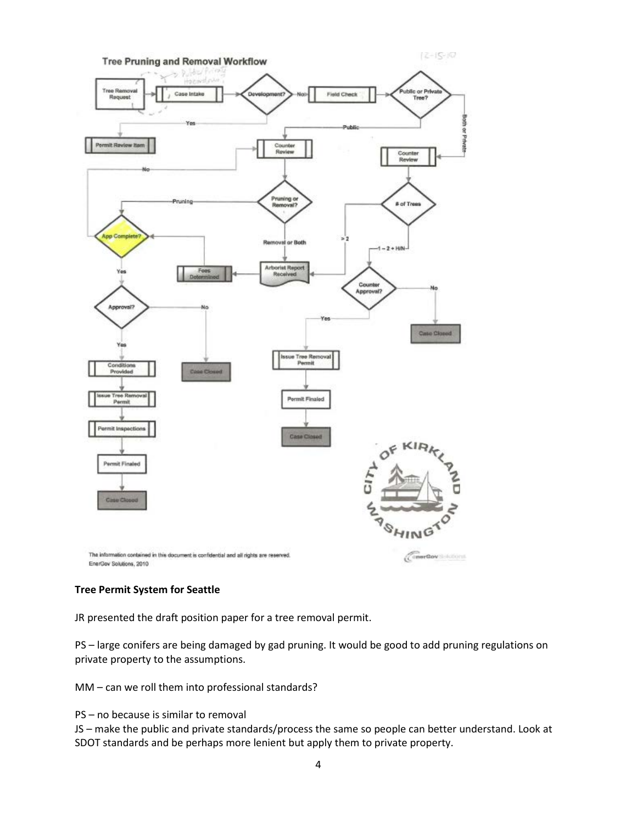

# **Tree Permit System for Seattle**

JR presented the draft position paper for a tree removal permit.

PS – large conifers are being damaged by gad pruning. It would be good to add pruning regulations on private property to the assumptions.

MM – can we roll them into professional standards?

PS – no because is similar to removal

JS – make the public and private standards/process the same so people can better understand. Look at SDOT standards and be perhaps more lenient but apply them to private property.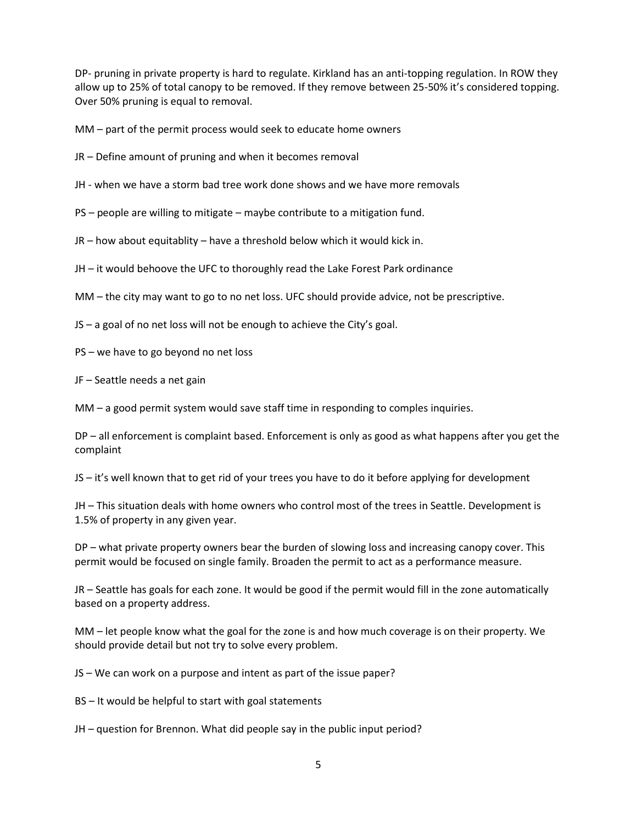DP- pruning in private property is hard to regulate. Kirkland has an anti-topping regulation. In ROW they allow up to 25% of total canopy to be removed. If they remove between 25-50% it's considered topping. Over 50% pruning is equal to removal.

MM – part of the permit process would seek to educate home owners

JR – Define amount of pruning and when it becomes removal

JH - when we have a storm bad tree work done shows and we have more removals

PS – people are willing to mitigate – maybe contribute to a mitigation fund.

JR – how about equitablity – have a threshold below which it would kick in.

JH – it would behoove the UFC to thoroughly read the Lake Forest Park ordinance

MM – the city may want to go to no net loss. UFC should provide advice, not be prescriptive.

JS – a goal of no net loss will not be enough to achieve the City's goal.

PS – we have to go beyond no net loss

JF – Seattle needs a net gain

MM – a good permit system would save staff time in responding to comples inquiries.

DP – all enforcement is complaint based. Enforcement is only as good as what happens after you get the complaint

JS – it's well known that to get rid of your trees you have to do it before applying for development

JH – This situation deals with home owners who control most of the trees in Seattle. Development is 1.5% of property in any given year.

DP – what private property owners bear the burden of slowing loss and increasing canopy cover. This permit would be focused on single family. Broaden the permit to act as a performance measure.

JR – Seattle has goals for each zone. It would be good if the permit would fill in the zone automatically based on a property address.

MM – let people know what the goal for the zone is and how much coverage is on their property. We should provide detail but not try to solve every problem.

JS – We can work on a purpose and intent as part of the issue paper?

BS – It would be helpful to start with goal statements

JH – question for Brennon. What did people say in the public input period?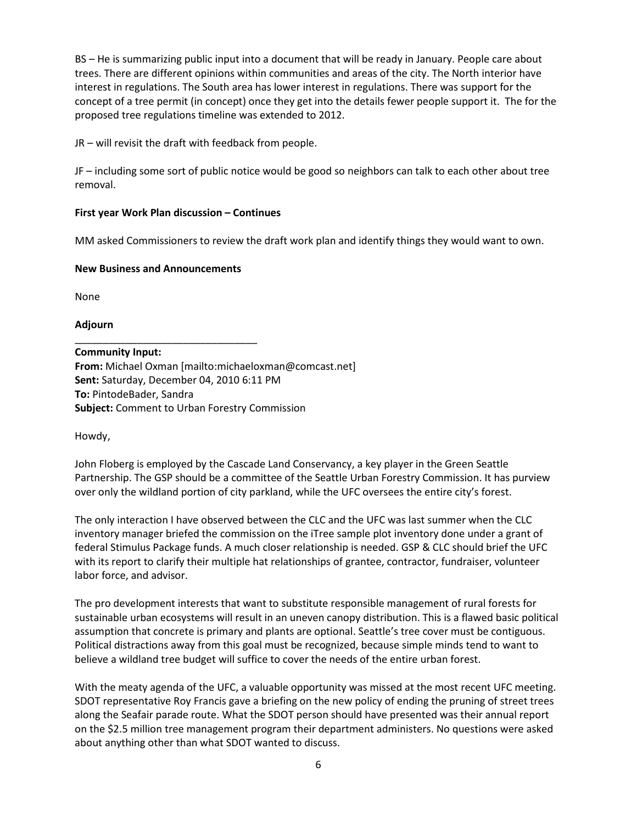BS – He is summarizing public input into a document that will be ready in January. People care about trees. There are different opinions within communities and areas of the city. The North interior have interest in regulations. The South area has lower interest in regulations. There was support for the concept of a tree permit (in concept) once they get into the details fewer people support it. The for the proposed tree regulations timeline was extended to 2012.

JR – will revisit the draft with feedback from people.

JF – including some sort of public notice would be good so neighbors can talk to each other about tree removal.

# **First year Work Plan discussion – Continues**

MM asked Commissioners to review the draft work plan and identify things they would want to own.

# **New Business and Announcements**

None

**Adjourn**

\_\_\_\_\_\_\_\_\_\_\_\_\_\_\_\_\_\_\_\_\_\_\_\_\_\_\_\_\_\_\_\_ **Community Input: From:** Michael Oxman [mailto:michaeloxman@comcast.net] **Sent:** Saturday, December 04, 2010 6:11 PM **To:** PintodeBader, Sandra **Subject:** Comment to Urban Forestry Commission

Howdy,

John Floberg is employed by the Cascade Land Conservancy, a key player in the Green Seattle Partnership. The GSP should be a committee of the Seattle Urban Forestry Commission. It has purview over only the wildland portion of city parkland, while the UFC oversees the entire city's forest.

The only interaction I have observed between the CLC and the UFC was last summer when the CLC inventory manager briefed the commission on the iTree sample plot inventory done under a grant of federal Stimulus Package funds. A much closer relationship is needed. GSP & CLC should brief the UFC with its report to clarify their multiple hat relationships of grantee, contractor, fundraiser, volunteer labor force, and advisor.

The pro development interests that want to substitute responsible management of rural forests for sustainable urban ecosystems will result in an uneven canopy distribution. This is a flawed basic political assumption that concrete is primary and plants are optional. Seattle's tree cover must be contiguous. Political distractions away from this goal must be recognized, because simple minds tend to want to believe a wildland tree budget will suffice to cover the needs of the entire urban forest.

With the meaty agenda of the UFC, a valuable opportunity was missed at the most recent UFC meeting. SDOT representative Roy Francis gave a briefing on the new policy of ending the pruning of street trees along the Seafair parade route. What the SDOT person should have presented was their annual report on the \$2.5 million tree management program their department administers. No questions were asked about anything other than what SDOT wanted to discuss.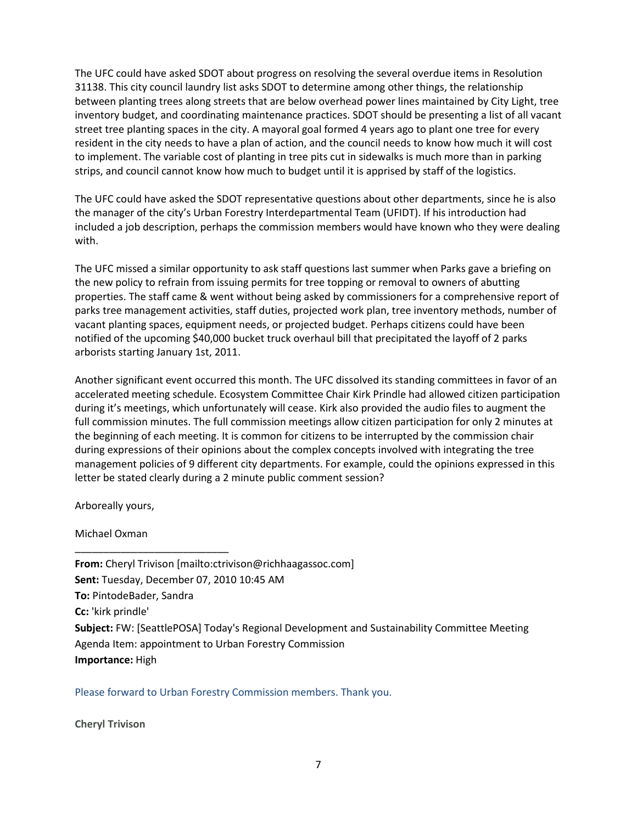The UFC could have asked SDOT about progress on resolving the several overdue items in Resolution 31138. This city council laundry list asks SDOT to determine among other things, the relationship between planting trees along streets that are below overhead power lines maintained by City Light, tree inventory budget, and coordinating maintenance practices. SDOT should be presenting a list of all vacant street tree planting spaces in the city. A mayoral goal formed 4 years ago to plant one tree for every resident in the city needs to have a plan of action, and the council needs to know how much it will cost to implement. The variable cost of planting in tree pits cut in sidewalks is much more than in parking strips, and council cannot know how much to budget until it is apprised by staff of the logistics.

The UFC could have asked the SDOT representative questions about other departments, since he is also the manager of the city's Urban Forestry Interdepartmental Team (UFIDT). If his introduction had included a job description, perhaps the commission members would have known who they were dealing with.

The UFC missed a similar opportunity to ask staff questions last summer when Parks gave a briefing on the new policy to refrain from issuing permits for tree topping or removal to owners of abutting properties. The staff came & went without being asked by commissioners for a comprehensive report of parks tree management activities, staff duties, projected work plan, tree inventory methods, number of vacant planting spaces, equipment needs, or projected budget. Perhaps citizens could have been notified of the upcoming \$40,000 bucket truck overhaul bill that precipitated the layoff of 2 parks arborists starting January 1st, 2011.

Another significant event occurred this month. The UFC dissolved its standing committees in favor of an accelerated meeting schedule. Ecosystem Committee Chair Kirk Prindle had allowed citizen participation during it's meetings, which unfortunately will cease. Kirk also provided the audio files to augment the full commission minutes. The full commission meetings allow citizen participation for only 2 minutes at the beginning of each meeting. It is common for citizens to be interrupted by the commission chair during expressions of their opinions about the complex concepts involved with integrating the tree management policies of 9 different city departments. For example, could the opinions expressed in this letter be stated clearly during a 2 minute public comment session?

Arboreally yours,

Michael Oxman

\_\_\_\_\_\_\_\_\_\_\_\_\_\_\_\_\_\_\_\_\_\_\_\_\_\_\_

**From:** Cheryl Trivison [mailto:ctrivison@richhaagassoc.com] **Sent:** Tuesday, December 07, 2010 10:45 AM **To:** PintodeBader, Sandra **Cc:** 'kirk prindle' **Subject:** FW: [SeattlePOSA] Today's Regional Development and Sustainability Committee Meeting Agenda Item: appointment to Urban Forestry Commission **Importance:** High

Please forward to Urban Forestry Commission members. Thank you.

**Cheryl Trivison**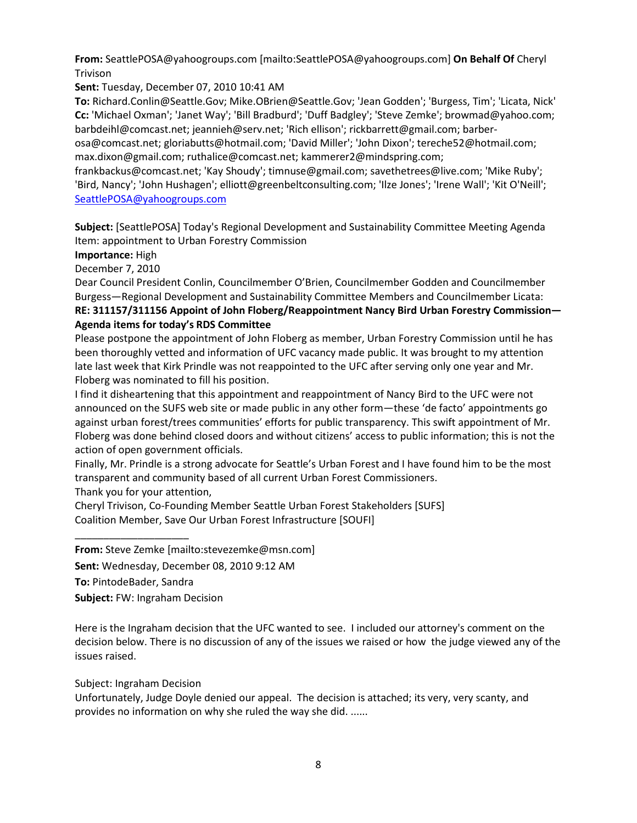**From:** SeattlePOSA@yahoogroups.com [mailto:SeattlePOSA@yahoogroups.com] **On Behalf Of** Cheryl Trivison

**Sent:** Tuesday, December 07, 2010 10:41 AM

**To:** Richard.Conlin@Seattle.Gov; Mike.OBrien@Seattle.Gov; 'Jean Godden'; 'Burgess, Tim'; 'Licata, Nick' **Cc:** 'Michael Oxman'; 'Janet Way'; 'Bill Bradburd'; 'Duff Badgley'; 'Steve Zemke'; browmad@yahoo.com; barbdeihl@comcast.net; jeannieh@serv.net; 'Rich ellison'; rickbarrett@gmail.com; barber-

osa@comcast.net; gloriabutts@hotmail.com; 'David Miller'; 'John Dixon'; tereche52@hotmail.com; max.dixon@gmail.com; ruthalice@comcast.net; kammerer2@mindspring.com;

frankbackus@comcast.net; 'Kay Shoudy'; timnuse@gmail.com; savethetrees@live.com; 'Mike Ruby'; 'Bird, Nancy'; 'John Hushagen'; elliott@greenbeltconsulting.com; 'Ilze Jones'; 'Irene Wall'; 'Kit O'Neill'; [SeattlePOSA@yahoogroups.com](mailto:SeattlePOSA@yahoogroups.com)

**Subject:** [SeattlePOSA] Today's Regional Development and Sustainability Committee Meeting Agenda Item: appointment to Urban Forestry Commission

**Importance:** High

December 7, 2010

Dear Council President Conlin, Councilmember O'Brien, Councilmember Godden and Councilmember Burgess—Regional Development and Sustainability Committee Members and Councilmember Licata: **RE: 311157/311156 Appoint of John Floberg/Reappointment Nancy Bird Urban Forestry Commission— Agenda items for today's RDS Committee**

Please postpone the appointment of John Floberg as member, Urban Forestry Commission until he has been thoroughly vetted and information of UFC vacancy made public. It was brought to my attention late last week that Kirk Prindle was not reappointed to the UFC after serving only one year and Mr. Floberg was nominated to fill his position.

I find it disheartening that this appointment and reappointment of Nancy Bird to the UFC were not announced on the SUFS web site or made public in any other form—these 'de facto' appointments go against urban forest/trees communities' efforts for public transparency. This swift appointment of Mr. Floberg was done behind closed doors and without citizens' access to public information; this is not the action of open government officials.

Finally, Mr. Prindle is a strong advocate for Seattle's Urban Forest and I have found him to be the most transparent and community based of all current Urban Forest Commissioners.

Thank you for your attention,

Cheryl Trivison, Co-Founding Member Seattle Urban Forest Stakeholders [SUFS] Coalition Member, Save Our Urban Forest Infrastructure [SOUFI]

**From:** Steve Zemke [mailto:stevezemke@msn.com]

**Sent:** Wednesday, December 08, 2010 9:12 AM

**To:** PintodeBader, Sandra

\_\_\_\_\_\_\_\_\_\_\_\_\_\_\_\_\_\_\_\_

**Subject:** FW: Ingraham Decision

Here is the Ingraham decision that the UFC wanted to see. I included our attorney's comment on the decision below. There is no discussion of any of the issues we raised or how the judge viewed any of the issues raised.

Subject: Ingraham Decision

Unfortunately, Judge Doyle denied our appeal. The decision is attached; its very, very scanty, and provides no information on why she ruled the way she did. ......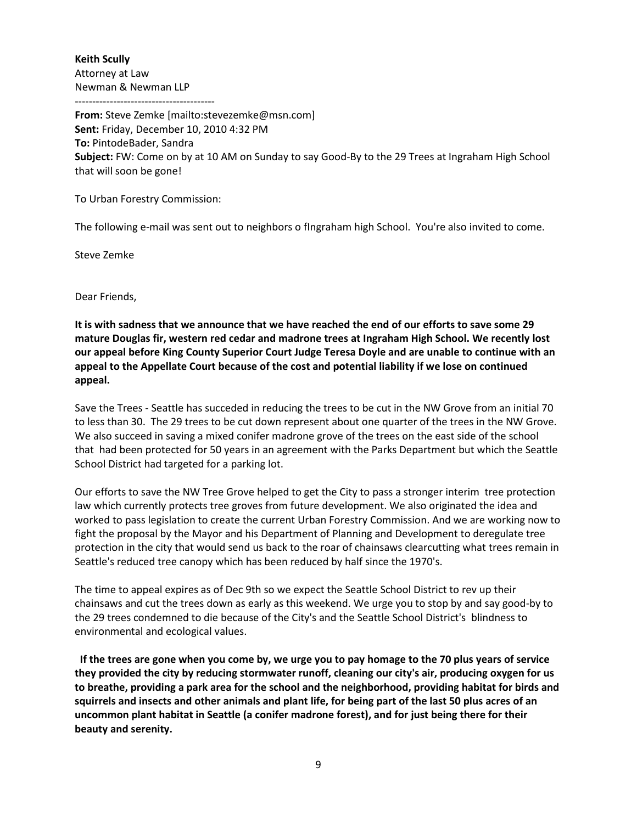**Keith Scully** Attorney at Law Newman & Newman LLP

----------------------------------------

**From:** Steve Zemke [mailto:stevezemke@msn.com] **Sent:** Friday, December 10, 2010 4:32 PM **To:** PintodeBader, Sandra **Subject:** FW: Come on by at 10 AM on Sunday to say Good-By to the 29 Trees at Ingraham High School that will soon be gone!

To Urban Forestry Commission:

The following e-mail was sent out to neighbors o fIngraham high School. You're also invited to come.

Steve Zemke

Dear Friends,

**It is with sadness that we announce that we have reached the end of our efforts to save some 29 mature Douglas fir, western red cedar and madrone trees at Ingraham High School. We recently lost our appeal before King County Superior Court Judge Teresa Doyle and are unable to continue with an appeal to the Appellate Court because of the cost and potential liability if we lose on continued appeal.**

Save the Trees - Seattle has succeded in reducing the trees to be cut in the NW Grove from an initial 70 to less than 30. The 29 trees to be cut down represent about one quarter of the trees in the NW Grove. We also succeed in saving a mixed conifer madrone grove of the trees on the east side of the school that had been protected for 50 years in an agreement with the Parks Department but which the Seattle School District had targeted for a parking lot.

Our efforts to save the NW Tree Grove helped to get the City to pass a stronger interim tree protection law which currently protects tree groves from future development. We also originated the idea and worked to pass legislation to create the current Urban Forestry Commission. And we are working now to fight the proposal by the Mayor and his Department of Planning and Development to deregulate tree protection in the city that would send us back to the roar of chainsaws clearcutting what trees remain in Seattle's reduced tree canopy which has been reduced by half since the 1970's.

The time to appeal expires as of Dec 9th so we expect the Seattle School District to rev up their chainsaws and cut the trees down as early as this weekend. We urge you to stop by and say good-by to the 29 trees condemned to die because of the City's and the Seattle School District's blindness to environmental and ecological values.

**If the trees are gone when you come by, we urge you to pay homage to the 70 plus years of service they provided the city by reducing stormwater runoff, cleaning our city's air, producing oxygen for us to breathe, providing a park area for the school and the neighborhood, providing habitat for birds and squirrels and insects and other animals and plant life, for being part of the last 50 plus acres of an uncommon plant habitat in Seattle (a conifer madrone forest), and for just being there for their beauty and serenity.**